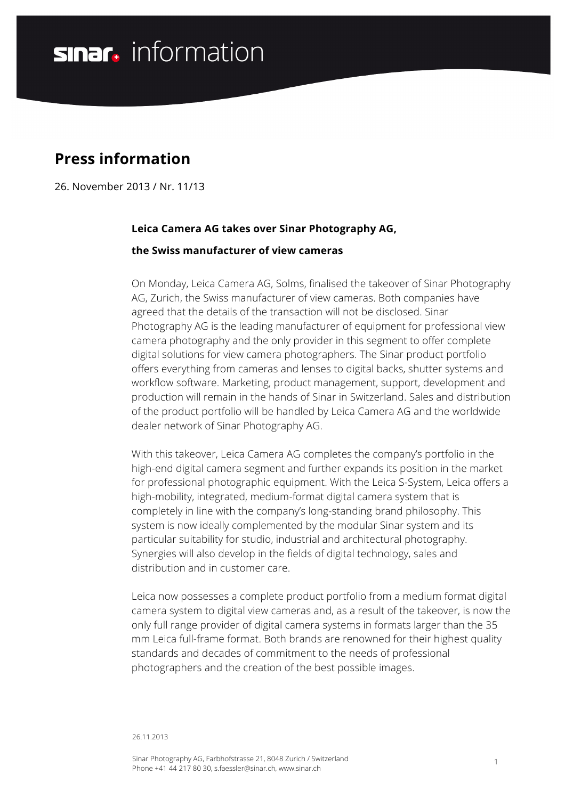# **sinar**, information

## **Press information**

26. November 2013 / Nr. 11/13

## **Leica Camera AG takes over Sinar Photography AG,**

#### **the Swiss manufacturer of view cameras**

On Monday, Leica Camera AG, Solms, finalised the takeover of Sinar Photography AG, Zurich, the Swiss manufacturer of view cameras. Both companies have agreed that the details of the transaction will not be disclosed. Sinar Photography AG is the leading manufacturer of equipment for professional view camera photography and the only provider in this segment to offer complete digital solutions for view camera photographers. The Sinar product portfolio offers everything from cameras and lenses to digital backs, shutter systems and workflow software. Marketing, product management, support, development and production will remain in the hands of Sinar in Switzerland. Sales and distribution of the product portfolio will be handled by Leica Camera AG and the worldwide dealer network of Sinar Photography AG.

With this takeover, Leica Camera AG completes the company's portfolio in the high-end digital camera segment and further expands its position in the market for professional photographic equipment. With the Leica S-System, Leica offers a high-mobility, integrated, medium-format digital camera system that is completely in line with the company's long-standing brand philosophy. This system is now ideally complemented by the modular Sinar system and its particular suitability for studio, industrial and architectural photography. Synergies will also develop in the fields of digital technology, sales and distribution and in customer care.

Leica now possesses a complete product portfolio from a medium format digital camera system to digital view cameras and, as a result of the takeover, is now the only full range provider of digital camera systems in formats larger than the 35 mm Leica full-frame format. Both brands are renowned for their highest quality standards and decades of commitment to the needs of professional photographers and the creation of the best possible images.

#### 26.11.2013